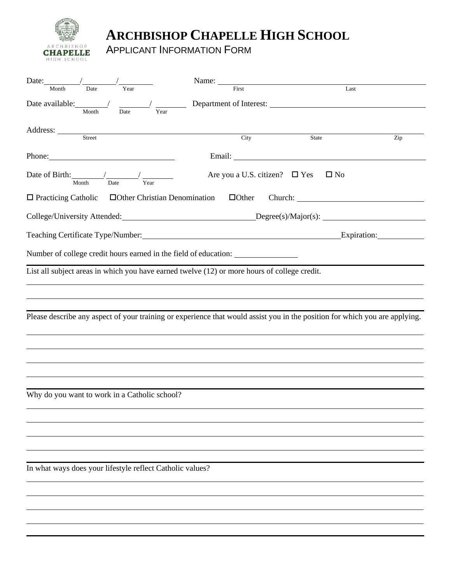

## **ARCHBISHOP CHAPELLE HIGH SCHOOL**

APPLICANT INFORMATION FORM

| Date:                                                                                        |        |                                     |      | Name:                              |                                                                                                                                                                                                                                      |                                                                                                                             |
|----------------------------------------------------------------------------------------------|--------|-------------------------------------|------|------------------------------------|--------------------------------------------------------------------------------------------------------------------------------------------------------------------------------------------------------------------------------------|-----------------------------------------------------------------------------------------------------------------------------|
| Month                                                                                        | Date   | Year                                |      | First                              |                                                                                                                                                                                                                                      | Last                                                                                                                        |
| Date available: //                                                                           |        |                                     |      |                                    | Department of Interest:                                                                                                                                                                                                              |                                                                                                                             |
|                                                                                              | Month  | Date                                | Year |                                    |                                                                                                                                                                                                                                      |                                                                                                                             |
|                                                                                              | Street |                                     |      |                                    |                                                                                                                                                                                                                                      |                                                                                                                             |
|                                                                                              |        |                                     |      | City                               | <b>State</b>                                                                                                                                                                                                                         | Zip                                                                                                                         |
| Phone:                                                                                       |        |                                     |      |                                    | Email: <u>Constantino and Constantino and Constantino and Constantino and Constantino and Constantino and Constantino and Constantino and Constantino and Constantino and Constantino and Constantino and Constantino and Consta</u> |                                                                                                                             |
|                                                                                              | Month  | Date                                | Year | Are you a U.S. citizen? $\Box$ Yes | $\square$ No                                                                                                                                                                                                                         |                                                                                                                             |
| $\Box$ Practicing Catholic                                                                   |        | <b>Other Christian Denomination</b> |      | $\Box$ Other                       |                                                                                                                                                                                                                                      |                                                                                                                             |
|                                                                                              |        |                                     |      |                                    |                                                                                                                                                                                                                                      | College/University Attended: Degree(s)/Major(s):                                                                            |
|                                                                                              |        |                                     |      |                                    |                                                                                                                                                                                                                                      | Expiration: Expiration:                                                                                                     |
| Number of college credit hours earned in the field of education:                             |        |                                     |      |                                    |                                                                                                                                                                                                                                      |                                                                                                                             |
| List all subject areas in which you have earned twelve (12) or more hours of college credit. |        |                                     |      |                                    |                                                                                                                                                                                                                                      |                                                                                                                             |
|                                                                                              |        |                                     |      |                                    |                                                                                                                                                                                                                                      |                                                                                                                             |
|                                                                                              |        |                                     |      |                                    | ,我们也不能会有什么。""我们的人,我们也不能会有什么?""我们的人,我们也不能会有什么?""我们的人,我们也不能会有什么?""我们的人,我们也不能会有什么?""                                                                                                                                                    |                                                                                                                             |
|                                                                                              |        |                                     |      |                                    |                                                                                                                                                                                                                                      | Please describe any aspect of your training or experience that would assist you in the position for which you are applying. |
|                                                                                              |        |                                     |      |                                    |                                                                                                                                                                                                                                      |                                                                                                                             |
|                                                                                              |        |                                     |      |                                    |                                                                                                                                                                                                                                      |                                                                                                                             |
|                                                                                              |        |                                     |      |                                    |                                                                                                                                                                                                                                      |                                                                                                                             |
|                                                                                              |        |                                     |      |                                    |                                                                                                                                                                                                                                      |                                                                                                                             |
|                                                                                              |        |                                     |      |                                    |                                                                                                                                                                                                                                      |                                                                                                                             |
| Why do you want to work in a Catholic school?                                                |        |                                     |      |                                    |                                                                                                                                                                                                                                      |                                                                                                                             |
|                                                                                              |        |                                     |      |                                    |                                                                                                                                                                                                                                      |                                                                                                                             |
|                                                                                              |        |                                     |      |                                    |                                                                                                                                                                                                                                      |                                                                                                                             |
|                                                                                              |        |                                     |      |                                    |                                                                                                                                                                                                                                      |                                                                                                                             |
|                                                                                              |        |                                     |      |                                    |                                                                                                                                                                                                                                      |                                                                                                                             |
| In what ways does your lifestyle reflect Catholic values?                                    |        |                                     |      |                                    |                                                                                                                                                                                                                                      |                                                                                                                             |
|                                                                                              |        |                                     |      |                                    |                                                                                                                                                                                                                                      |                                                                                                                             |
|                                                                                              |        |                                     |      |                                    |                                                                                                                                                                                                                                      |                                                                                                                             |
|                                                                                              |        |                                     |      |                                    |                                                                                                                                                                                                                                      |                                                                                                                             |
|                                                                                              |        |                                     |      |                                    |                                                                                                                                                                                                                                      |                                                                                                                             |
|                                                                                              |        |                                     |      |                                    |                                                                                                                                                                                                                                      |                                                                                                                             |
|                                                                                              |        |                                     |      |                                    |                                                                                                                                                                                                                                      |                                                                                                                             |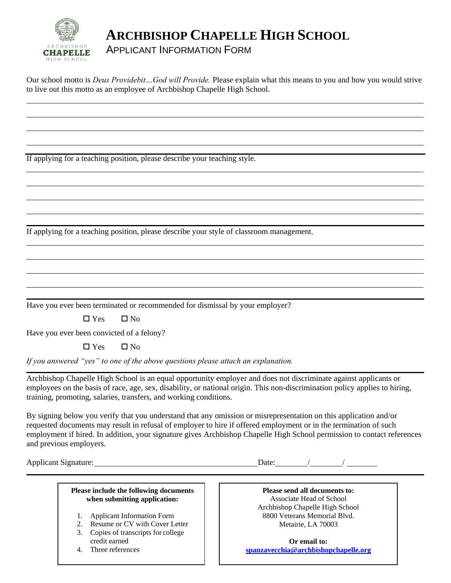

## **ARCHBISHOP CHAPELLE HIGH SCHOOL**

## APPLICANT INFORMATION FORM

Our school motto is *Deus Providebit…God will Provide.* Please explain what this means to you and how you would strive to live out this motto as an employee of Archbishop Chapelle High School.

If applying for a teaching position, please describe your teaching style.

If applying for a teaching position, please describe your style of classroom management.

Have you ever been terminated or recommended for dismissal by your employer?

 $\Box$  Yes  $\Box$  No

Have you ever been convicted of a felony?

 $\Box$  Yes  $\Box$  No

*If you answered "yes" to one of the above questions please attach an explanation.*

Archbishop Chapelle High School is an equal opportunity employer and does not discriminate against applicants or employees on the basis of race, age, sex, disability, or national origin. This non-discrimination policy applies to hiring, training, promoting, salaries, transfers, and working conditions.

By signing below you verify that you understand that any omission or misrepresentation on this application and/or requested documents may result in refusal of employer to hire if offered employment or in the termination of such employment if hired. In addition, your signature gives Archbishop Chapelle High School permission to contact references and previous employers.

Applicant Signature: Date: / /

| Please include the following documents |
|----------------------------------------|
| when submitting application:           |

- 1. Applicant Information Form
- 2. Resume or CV with Cover Letter
- 3. Copies of transcripts for college credit earned
- 4. Three references

**Please send all documents to:** Associate Head of School Archbishop Chapelle High School 8800 Veterans Memorial Blvd. Metairie, LA 70003

**Or email to: [spanzavecchia@archbishopchapelle.org](mailto:spanzavecchia@archbishopchapelle.org)**